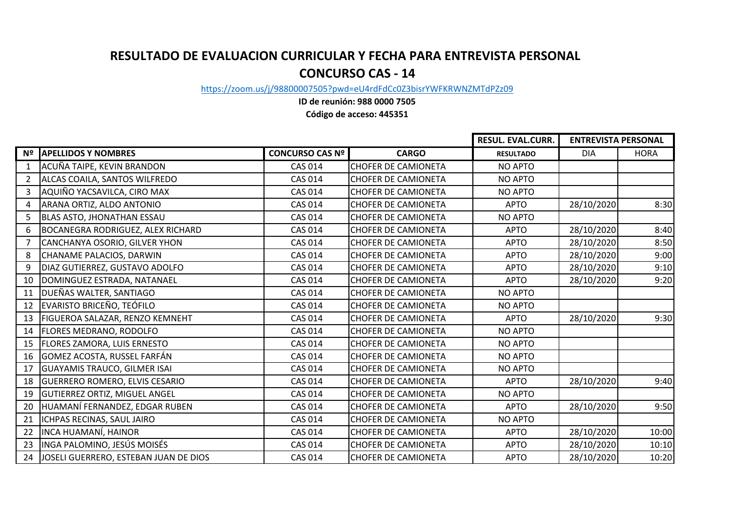## **RESULTADO DE EVALUACION CURRICULAR Y FECHA PARA ENTREVISTA PERSONAL CONCURSO CAS - 14**

[https://zoom.us](https://zoom.us/j/98800007505?pwd=eU4rdFdCc0Z3bisrYWFKRWNZMTdPZz09)/j/98800007505?pwd=eU4rdFdCc0Z3bisrYWFKRWNZMTdPZz09

**ID de reunión: 988 0000 7505 Código de acceso: 445351**

|                |                                       |                        |                            | <b>RESUL. EVAL.CURR.</b> | <b>ENTREVISTA PERSONAL</b> |             |
|----------------|---------------------------------------|------------------------|----------------------------|--------------------------|----------------------------|-------------|
|                | Nº APELLIDOS Y NOMBRES                | <b>CONCURSO CAS Nº</b> | <b>CARGO</b>               | <b>RESULTADO</b>         | <b>DIA</b>                 | <b>HORA</b> |
| 1              | ACUÑA TAIPE, KEVIN BRANDON            | <b>CAS 014</b>         | <b>CHOFER DE CAMIONETA</b> | <b>NO APTO</b>           |                            |             |
| $\mathbf{2}$   | ALCAS COAILA, SANTOS WILFREDO         | <b>CAS 014</b>         | <b>CHOFER DE CAMIONETA</b> | <b>NO APTO</b>           |                            |             |
| $\mathbf{3}$   | AQUIÑO YACSAVILCA, CIRO MAX           | <b>CAS 014</b>         | <b>CHOFER DE CAMIONETA</b> | <b>NO APTO</b>           |                            |             |
| $\overline{4}$ | ARANA ORTIZ, ALDO ANTONIO             | <b>CAS 014</b>         | <b>CHOFER DE CAMIONETA</b> | <b>APTO</b>              | 28/10/2020                 | 8:30        |
| 5              | BLAS ASTO, JHONATHAN ESSAU            | <b>CAS 014</b>         | <b>CHOFER DE CAMIONETA</b> | <b>NO APTO</b>           |                            |             |
| 6              | BOCANEGRA RODRIGUEZ, ALEX RICHARD     | <b>CAS 014</b>         | <b>CHOFER DE CAMIONETA</b> | <b>APTO</b>              | 28/10/2020                 | 8:40        |
| $7^{\circ}$    | CANCHANYA OSORIO, GILVER YHON         | <b>CAS 014</b>         | <b>CHOFER DE CAMIONETA</b> | <b>APTO</b>              | 28/10/2020                 | 8:50        |
| 8              | CHANAME PALACIOS, DARWIN              | <b>CAS 014</b>         | <b>CHOFER DE CAMIONETA</b> | <b>APTO</b>              | 28/10/2020                 | 9:00        |
| 9              | DIAZ GUTIERREZ, GUSTAVO ADOLFO        | <b>CAS 014</b>         | <b>CHOFER DE CAMIONETA</b> | <b>APTO</b>              | 28/10/2020                 | 9:10        |
| 10             | DOMINGUEZ ESTRADA, NATANAEL           | <b>CAS 014</b>         | <b>CHOFER DE CAMIONETA</b> | <b>APTO</b>              | 28/10/2020                 | 9:20        |
|                | 11   DUEÑAS WALTER, SANTIAGO          | <b>CAS 014</b>         | <b>CHOFER DE CAMIONETA</b> | NO APTO                  |                            |             |
| 12             | EVARISTO BRICEÑO, TEÓFILO             | <b>CAS 014</b>         | <b>CHOFER DE CAMIONETA</b> | <b>NO APTO</b>           |                            |             |
| 13             | FIGUEROA SALAZAR, RENZO KEMNEHT       | <b>CAS 014</b>         | <b>CHOFER DE CAMIONETA</b> | <b>APTO</b>              | 28/10/2020                 | 9:30        |
|                | 14   FLORES MEDRANO, RODOLFO          | <b>CAS 014</b>         | <b>CHOFER DE CAMIONETA</b> | <b>NO APTO</b>           |                            |             |
|                | 15   FLORES ZAMORA, LUIS ERNESTO      | <b>CAS 014</b>         | <b>CHOFER DE CAMIONETA</b> | <b>NO APTO</b>           |                            |             |
|                | 16 GOMEZ ACOSTA, RUSSEL FARFÁN        | <b>CAS 014</b>         | <b>CHOFER DE CAMIONETA</b> | <b>NO APTO</b>           |                            |             |
| 17             | <b>GUAYAMIS TRAUCO, GILMER ISAI</b>   | <b>CAS 014</b>         | <b>CHOFER DE CAMIONETA</b> | <b>NO APTO</b>           |                            |             |
| 18             | <b>GUERRERO ROMERO, ELVIS CESARIO</b> | <b>CAS 014</b>         | <b>CHOFER DE CAMIONETA</b> | <b>APTO</b>              | 28/10/2020                 | 9:40        |
| 19             | <b>GUTIERREZ ORTIZ, MIGUEL ANGEL</b>  | <b>CAS 014</b>         | <b>CHOFER DE CAMIONETA</b> | <b>NO APTO</b>           |                            |             |
| 20             | HUAMANÍ FERNANDEZ, EDGAR RUBEN        | <b>CAS 014</b>         | <b>CHOFER DE CAMIONETA</b> | <b>APTO</b>              | 28/10/2020                 | 9:50        |
| 21             | ICHPAS RECINAS, SAUL JAIRO            | <b>CAS 014</b>         | <b>CHOFER DE CAMIONETA</b> | <b>NO APTO</b>           |                            |             |
| 22             | INCA HUAMANÍ, HAINOR                  | <b>CAS 014</b>         | <b>CHOFER DE CAMIONETA</b> | <b>APTO</b>              | 28/10/2020                 | 10:00       |
| 23             | INGA PALOMINO, JESÚS MOISÉS           | <b>CAS 014</b>         | <b>CHOFER DE CAMIONETA</b> | <b>APTO</b>              | 28/10/2020                 | 10:10       |
| 24             | JOSELI GUERRERO, ESTEBAN JUAN DE DIOS | <b>CAS 014</b>         | <b>CHOFER DE CAMIONETA</b> | <b>APTO</b>              | 28/10/2020                 | 10:20       |